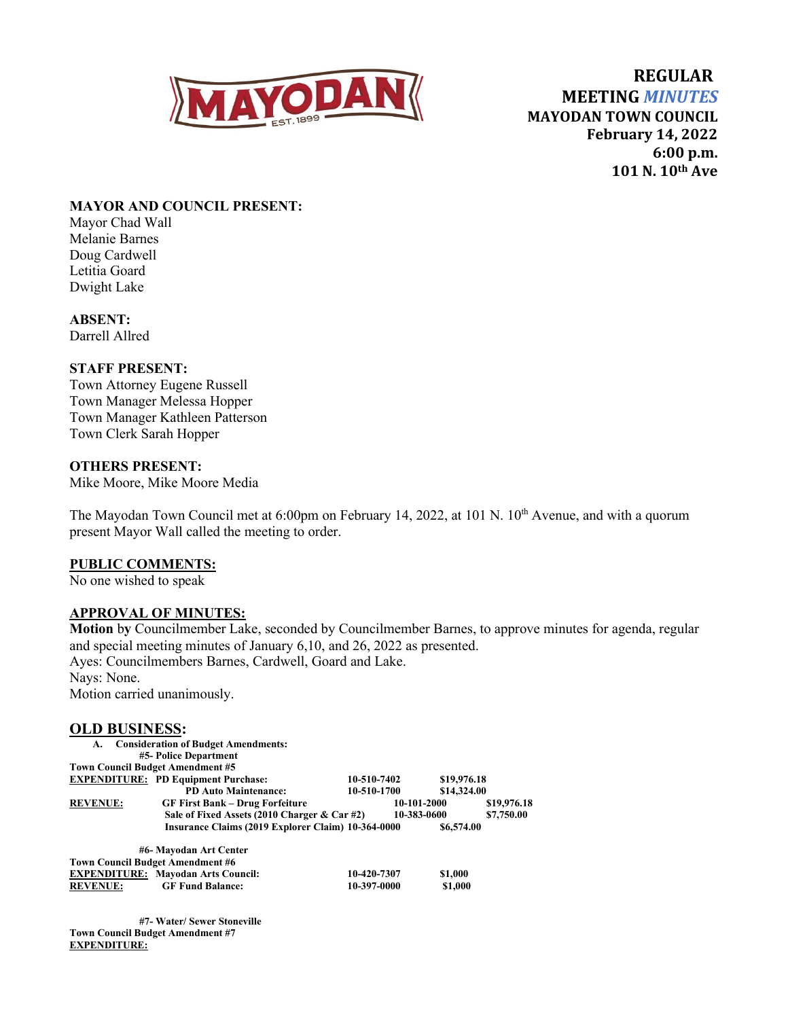

 **REGULAR MEETING** *MINUTES* **MAYODAN TOWN COUNCIL February 14, 2022 6:00 p.m. 101 N. 10th Ave**

### **MAYOR AND COUNCIL PRESENT:**

Mayor Chad Wall Melanie Barnes Doug Cardwell Letitia Goard Dwight Lake

**ABSENT:** Darrell Allred

### **STAFF PRESENT:**

Town Attorney Eugene Russell Town Manager Melessa Hopper Town Manager Kathleen Patterson Town Clerk Sarah Hopper

### **OTHERS PRESENT:**

Mike Moore, Mike Moore Media

The Mayodan Town Council met at 6:00pm on February 14, 2022, at 101 N. 10<sup>th</sup> Avenue, and with a quorum present Mayor Wall called the meeting to order.

#### **PUBLIC COMMENTS:**

No one wished to speak

#### **APPROVAL OF MINUTES:**

**Motion** b**y** Councilmember Lake, seconded by Councilmember Barnes, to approve minutes for agenda, regular and special meeting minutes of January 6,10, and 26, 2022 as presented. Ayes: Councilmembers Barnes, Cardwell, Goard and Lake. Nays: None. Motion carried unanimously.

# **OLD BUSINESS:**

| <b>OLD DUDITION.</b> |                                                    |             |             |             |
|----------------------|----------------------------------------------------|-------------|-------------|-------------|
| А.                   | <b>Consideration of Budget Amendments:</b>         |             |             |             |
|                      | #5- Police Department                              |             |             |             |
|                      | <b>Town Council Budget Amendment #5</b>            |             |             |             |
|                      | <b>EXPENDITURE: PD Equipment Purchase:</b>         | 10-510-7402 | \$19,976.18 |             |
|                      | <b>PD Auto Maintenance:</b>                        | 10-510-1700 | \$14,324.00 |             |
| <b>REVENUE:</b>      | <b>GF First Bank – Drug Forfeiture</b>             | 10-101-2000 |             | \$19,976.18 |
|                      | Sale of Fixed Assets (2010 Charger & Car #2)       |             | 10-383-0600 | \$7,750.00  |
|                      | Insurance Claims (2019 Explorer Claim) 10-364-0000 |             | \$6,574.00  |             |
|                      | #6- Mayodan Art Center                             |             |             |             |
|                      | <b>Town Council Budget Amendment #6</b>            |             |             |             |
|                      | <b>EXPENDITURE: Mayodan Arts Council:</b>          | 10-420-7307 | \$1,000     |             |
| <b>REVENUE:</b>      | <b>GF Fund Balance:</b>                            | 10-397-0000 | \$1,000     |             |

**#7- Water/ Sewer Stoneville Town Council Budget Amendment #7 EXPENDITURE:**